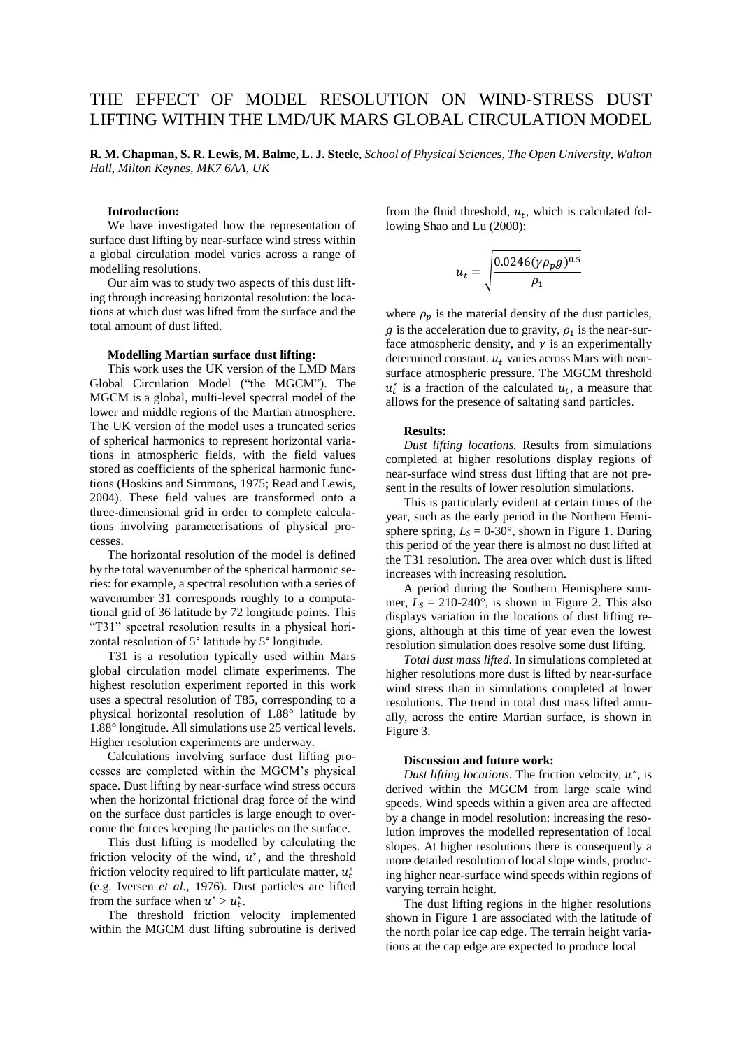# THE EFFECT OF MODEL RESOLUTION ON WIND-STRESS DUST LIFTING WITHIN THE LMD/UK MARS GLOBAL CIRCULATION MODEL

**R. M. Chapman, S. R. Lewis, M. Balme, L. J. Steele**, *School of Physical Sciences, The Open University, Walton Hall, Milton Keynes, MK7 6AA, UK*

## **Introduction:**

We have investigated how the representation of surface dust lifting by near-surface wind stress within a global circulation model varies across a range of modelling resolutions.

Our aim was to study two aspects of this dust lifting through increasing horizontal resolution: the locations at which dust was lifted from the surface and the total amount of dust lifted.

### **Modelling Martian surface dust lifting:**

This work uses the UK version of the LMD Mars Global Circulation Model ("the MGCM"). The MGCM is a global, multi-level spectral model of the lower and middle regions of the Martian atmosphere. The UK version of the model uses a truncated series of spherical harmonics to represent horizontal variations in atmospheric fields, with the field values stored as coefficients of the spherical harmonic functions (Hoskins and Simmons, 1975; Read and Lewis, 2004). These field values are transformed onto a three-dimensional grid in order to complete calculations involving parameterisations of physical processes.

The horizontal resolution of the model is defined by the total wavenumber of the spherical harmonic series: for example, a spectral resolution with a series of wavenumber 31 corresponds roughly to a computational grid of 36 latitude by 72 longitude points. This "T31" spectral resolution results in a physical horizontal resolution of 5° latitude by 5° longitude.

T31 is a resolution typically used within Mars global circulation model climate experiments. The highest resolution experiment reported in this work uses a spectral resolution of T85, corresponding to a physical horizontal resolution of 1.88° latitude by 1.88° longitude. All simulations use 25 vertical levels. Higher resolution experiments are underway.

Calculations involving surface dust lifting processes are completed within the MGCM's physical space. Dust lifting by near-surface wind stress occurs when the horizontal frictional drag force of the wind on the surface dust particles is large enough to overcome the forces keeping the particles on the surface.

This dust lifting is modelled by calculating the friction velocity of the wind,  $u^*$ , and the threshold friction velocity required to lift particulate matter,  $u_t^*$ (e.g. Iversen *et al.*, 1976). Dust particles are lifted from the surface when  $u^* > u_t^*$ .

The threshold friction velocity implemented within the MGCM dust lifting subroutine is derived

from the fluid threshold,  $u_t$ , which is calculated following Shao and Lu (2000):

$$
u_t = \sqrt{\frac{0.0246(\gamma \rho_p g)^{0.5}}{\rho_1}}
$$

where  $\rho_p$  is the material density of the dust particles,  $g$  is the acceleration due to gravity,  $\rho_1$  is the near-surface atmospheric density, and  $\gamma$  is an experimentally determined constant.  $u_t$  varies across Mars with nearsurface atmospheric pressure. The MGCM threshold  $u_t^*$  is a fraction of the calculated  $u_t$ , a measure that allows for the presence of saltating sand particles.

## **Results:**

*Dust lifting locations.* Results from simulations completed at higher resolutions display regions of near-surface wind stress dust lifting that are not present in the results of lower resolution simulations.

This is particularly evident at certain times of the year, such as the early period in the Northern Hemisphere spring,  $L_s = 0.30^\circ$ , shown in Figure 1. During this period of the year there is almost no dust lifted at the T31 resolution. The area over which dust is lifted increases with increasing resolution.

A period during the Southern Hemisphere summer,  $L_s = 210{\text -}240^{\circ}$ , is shown in Figure 2. This also displays variation in the locations of dust lifting regions, although at this time of year even the lowest resolution simulation does resolve some dust lifting.

*Total dust mass lifted.* In simulations completed at higher resolutions more dust is lifted by near-surface wind stress than in simulations completed at lower resolutions. The trend in total dust mass lifted annually, across the entire Martian surface, is shown in Figure 3.

#### **Discussion and future work:**

Dust lifting locations. The friction velocity,  $u^*$ , is derived within the MGCM from large scale wind speeds. Wind speeds within a given area are affected by a change in model resolution: increasing the resolution improves the modelled representation of local slopes. At higher resolutions there is consequently a more detailed resolution of local slope winds, producing higher near-surface wind speeds within regions of varying terrain height.

The dust lifting regions in the higher resolutions shown in Figure 1 are associated with the latitude of the north polar ice cap edge. The terrain height variations at the cap edge are expected to produce local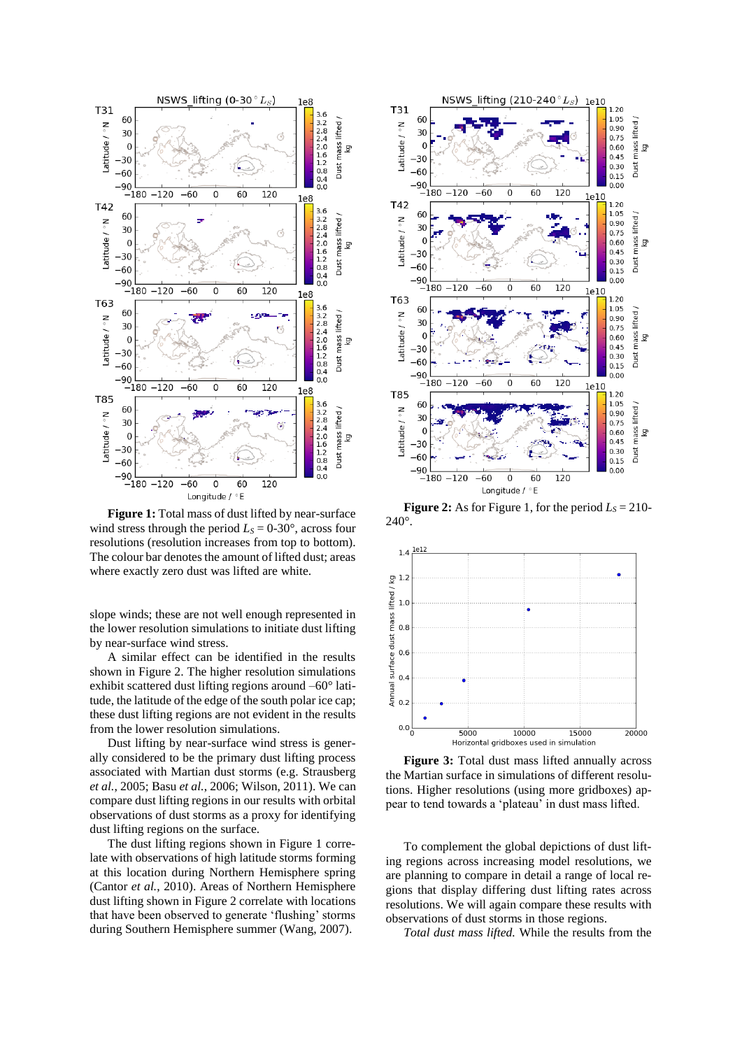

**Figure 1:** Total mass of dust lifted by near-surface wind stress through the period  $L<sub>S</sub> = 0-30^{\circ}$ , across four resolutions (resolution increases from top to bottom). The colour bar denotes the amount of lifted dust; areas where exactly zero dust was lifted are white.

slope winds; these are not well enough represented in the lower resolution simulations to initiate dust lifting by near-surface wind stress.

A similar effect can be identified in the results shown in Figure 2. The higher resolution simulations exhibit scattered dust lifting regions around –60° latitude, the latitude of the edge of the south polar ice cap; these dust lifting regions are not evident in the results from the lower resolution simulations.

Dust lifting by near-surface wind stress is generally considered to be the primary dust lifting process associated with Martian dust storms (e.g. Strausberg *et al.*, 2005; Basu *et al.*, 2006; Wilson, 2011). We can compare dust lifting regions in our results with orbital observations of dust storms as a proxy for identifying dust lifting regions on the surface.

The dust lifting regions shown in Figure 1 correlate with observations of high latitude storms forming at this location during Northern Hemisphere spring (Cantor *et al.*, 2010). Areas of Northern Hemisphere dust lifting shown in Figure 2 correlate with locations that have been observed to generate 'flushing' storms during Southern Hemisphere summer (Wang, 2007).



**Figure 2:** As for Figure 1, for the period  $L_s = 210$ -240°.



**Figure 3:** Total dust mass lifted annually across the Martian surface in simulations of different resolutions. Higher resolutions (using more gridboxes) appear to tend towards a 'plateau' in dust mass lifted.

To complement the global depictions of dust lifting regions across increasing model resolutions, we are planning to compare in detail a range of local regions that display differing dust lifting rates across resolutions. We will again compare these results with observations of dust storms in those regions.

*Total dust mass lifted.* While the results from the